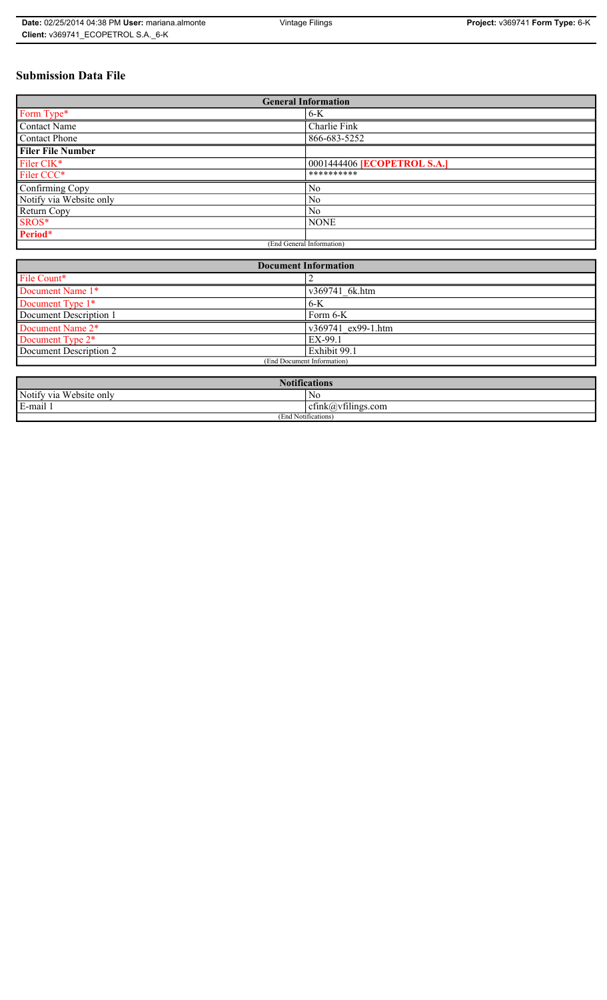# **Submission Data File**

| <b>General Information</b> |                                    |  |
|----------------------------|------------------------------------|--|
| Form Type*                 | $6-K$                              |  |
| <b>Contact Name</b>        | Charlie Fink                       |  |
| Contact Phone              | 866-683-5252                       |  |
| <b>Filer File Number</b>   |                                    |  |
| Filer CIK*                 | 0001444406 <b>[ECOPETROL S.A.]</b> |  |
| Filer CCC*                 | **********                         |  |
| Confirming Copy            | No                                 |  |
| Notify via Website only    | N <sub>0</sub>                     |  |
| Return Copy                | N <sub>0</sub>                     |  |
| SROS*                      | <b>NONE</b>                        |  |
| Period*                    |                                    |  |
| (End General Information)  |                                    |  |

| <b>Document Information</b> |                    |  |
|-----------------------------|--------------------|--|
| File Count*                 |                    |  |
| Document Name 1*            | v369741 6k.htm     |  |
| Document Type 1*            | $6-K$              |  |
| Document Description 1      | Form 6-K           |  |
| Document Name 2*            | v369741 ex99-1.htm |  |
| Document Type 2*            | EX-99.1            |  |
| Document Description 2      | Exhibit 99.1       |  |
| (End Document Information)  |                    |  |
|                             |                    |  |

| 1: C<br>tications                        |                                                                 |  |
|------------------------------------------|-----------------------------------------------------------------|--|
| <b>TTT</b><br>Notify via<br>Website only | N0                                                              |  |
| E-mail 1                                 | $\sim$ $\cdot$<br>$\tilde{\phantom{a}}$<br>ctink(a)vtilings.com |  |
| (End Notifications)                      |                                                                 |  |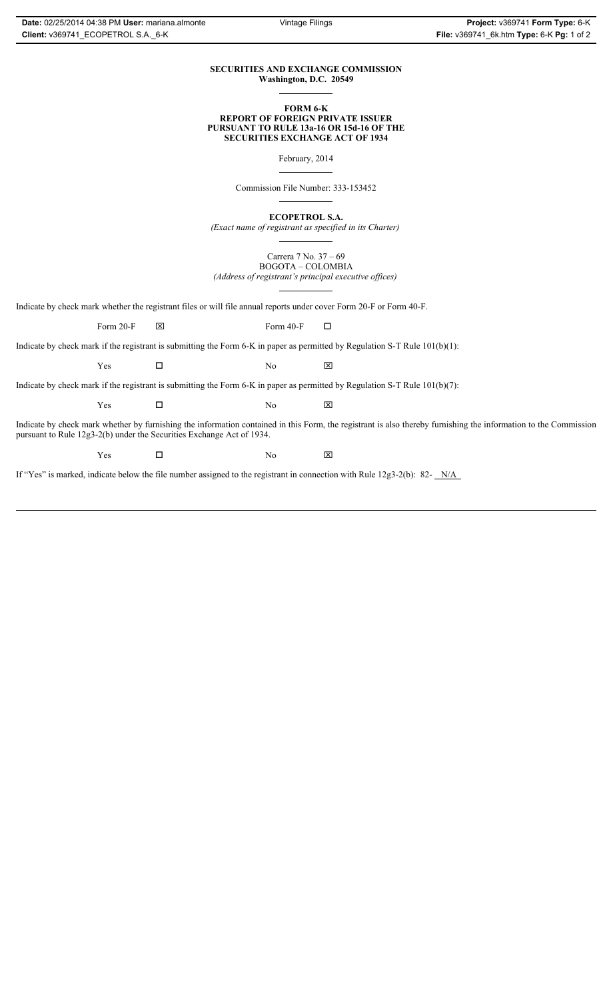### **SECURITIES AND EXCHANGE COMMISSION Washington, D.C. 20549**

### **FORM 6-K REPORT OF FOREIGN PRIVATE ISSUER PURSUANT TO RULE 13a-16 OR 15d-16 OF THE SECURITIES EXCHANGE ACT OF 1934**

February, 2014

Commission File Number: 333-153452

**ECOPETROL S.A.**

*(Exact name of registrant as specified in its Charter)*

Carrera 7 No. 37 – 69 BOGOTA – COLOMBIA *(Address of registrant's principal executive offices)*

Indicate by check mark whether the registrant files or will file annual reports under cover Form 20-F or Form 40-F.

Form 20-F  $\boxtimes$  Form 40-F  $\Box$ 

Indicate by check mark if the registrant is submitting the Form 6-K in paper as permitted by Regulation S-T Rule 101(b)(1):

 $Yes$   $\Box$  No  $X$ 

Indicate by check mark if the registrant is submitting the Form 6-K in paper as permitted by Regulation S-T Rule 101(b)(7):

 $Yes$   $\Box$  No  $X$ 

Indicate by check mark whether by furnishing the information contained in this Form, the registrant is also thereby furnishing the information to the Commission pursuant to Rule 12g3-2(b) under the Securities Exchange Act of 1934.

 $Yes$   $\Box$  No  $X$ 

If "Yes" is marked, indicate below the file number assigned to the registrant in connection with Rule 12g3-2(b): 82- N/A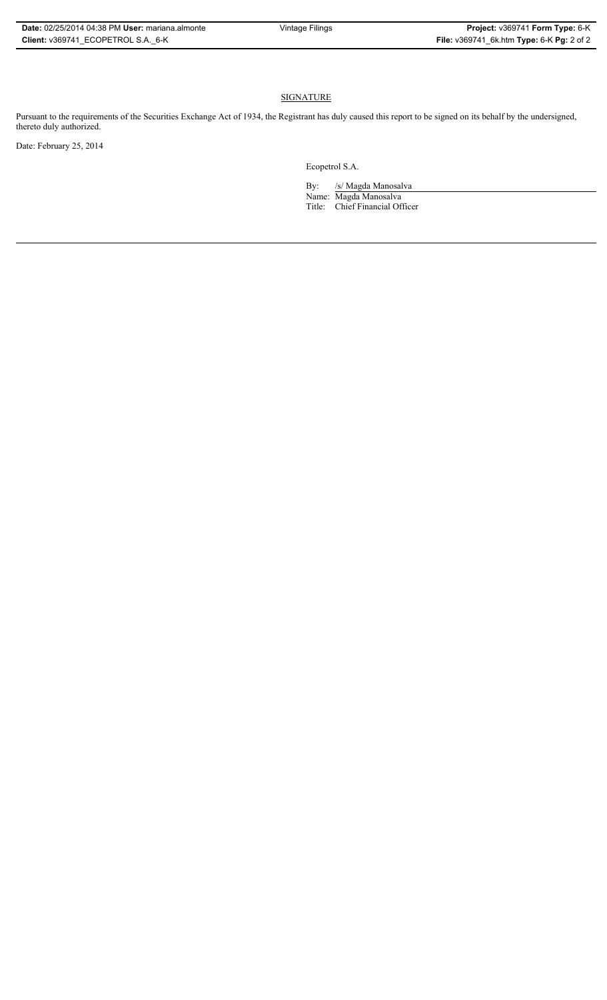# **SIGNATURE**

Pursuant to the requirements of the Securities Exchange Act of 1934, the Registrant has duly caused this report to be signed on its behalf by the undersigned, thereto duly authorized.

Date: February 25, 2014

Ecopetrol S.A.

By: /s/ Magda Manosalva Name: Magda Manosalva Title: Chief Financial Officer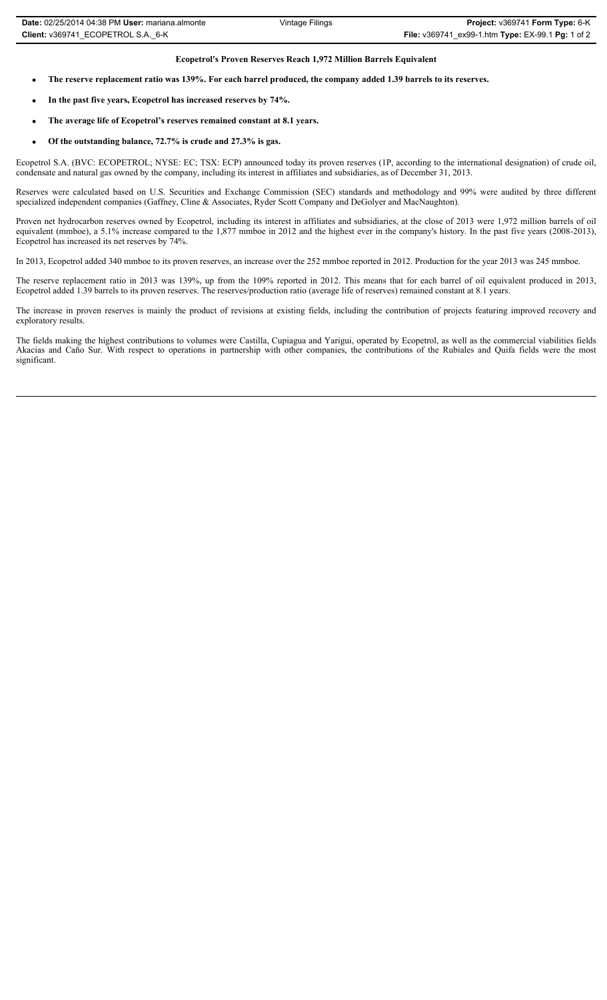## **Ecopetrol's Proven Reserves Reach 1,972 Million Barrels Equivalent**

- The reserve replacement ratio was 139%. For each barrel produced, the company added 1.39 barrels to its reserves.
- In the past five years, Ecopetrol has increased reserves by 74%.
- x **The average life of Ecopetrol's reserves remained constant at 8.1 years.**
- Of the outstanding balance, 72.7% is crude and 27.3% is gas.

Ecopetrol S.A. (BVC: ECOPETROL; NYSE: EC; TSX: ECP) announced today its proven reserves (1P, according to the international designation) of crude oil, condensate and natural gas owned by the company, including its interest in affiliates and subsidiaries, as of December 31, 2013.

Reserves were calculated based on U.S. Securities and Exchange Commission (SEC) standards and methodology and 99% were audited by three different specialized independent companies (Gaffney, Cline & Associates, Ryder Scott Company and DeGolyer and MacNaughton).

Proven net hydrocarbon reserves owned by Ecopetrol, including its interest in affiliates and subsidiaries, at the close of 2013 were 1,972 million barrels of oil equivalent (mmboe), a 5.1% increase compared to the 1,877 mmboe in 2012 and the highest ever in the company's history. In the past five years (2008-2013), Ecopetrol has increased its net reserves by 74%.

In 2013, Ecopetrol added 340 mmboe to its proven reserves, an increase over the 252 mmboe reported in 2012. Production for the year 2013 was 245 mmboe.

The reserve replacement ratio in 2013 was 139%, up from the 109% reported in 2012. This means that for each barrel of oil equivalent produced in 2013, Ecopetrol added 1.39 barrels to its proven reserves. The reserves/production ratio (average life of reserves) remained constant at 8.1 years.

The increase in proven reserves is mainly the product of revisions at existing fields, including the contribution of projects featuring improved recovery and exploratory results.

The fields making the highest contributions to volumes were Castilla, Cupiagua and Yarigui, operated by Ecopetrol, as well as the commercial viabilities fields Akacias and Caño Sur. With respect to operations in partnership with other companies, the contributions of the Rubiales and Quifa fields were the most significant.